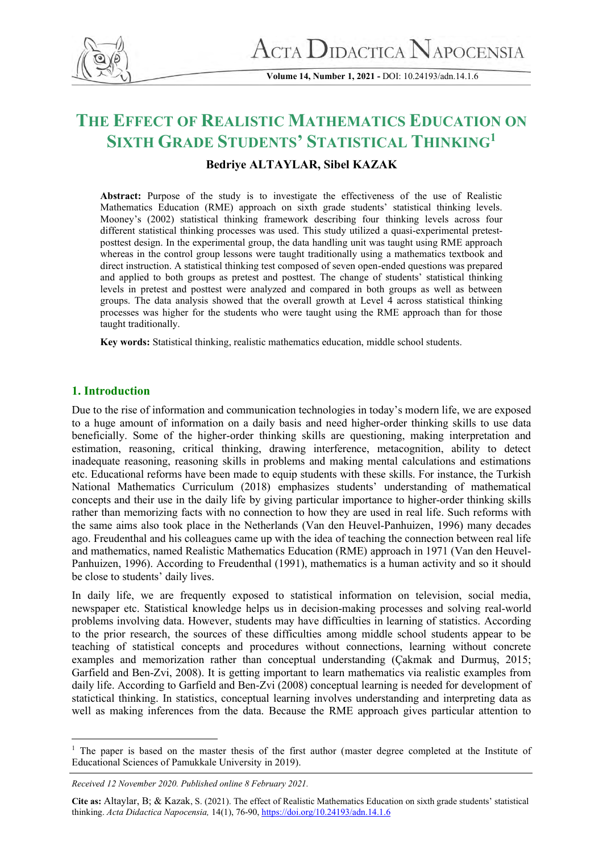

**Volume 14, Number 1, 2021 -** DOI: 10.24193/adn.14.1.6

# **THE EFFECT OF REALISTIC MATHEMATICS EDUCATION ON SIXTH GRADE STUDENTS' STATISTICAL THINKING<sup>1</sup>**

# **Bedriye ALTAYLAR, Sibel KAZAK**

**Abstract:** Purpose of the study is to investigate the effectiveness of the use of Realistic Mathematics Education (RME) approach on sixth grade students' statistical thinking levels. Mooney's (2002) statistical thinking framework describing four thinking levels across four different statistical thinking processes was used. This study utilized a quasi-experimental pretestposttest design. In the experimental group, the data handling unit was taught using RME approach whereas in the control group lessons were taught traditionally using a mathematics textbook and direct instruction. A statistical thinking test composed of seven open-ended questions was prepared and applied to both groups as pretest and posttest. The change of students' statistical thinking levels in pretest and posttest were analyzed and compared in both groups as well as between groups. The data analysis showed that the overall growth at Level 4 across statistical thinking processes was higher for the students who were taught using the RME approach than for those taught traditionally.

**Key words:** Statistical thinking, realistic mathematics education, middle school students.

# **1. Introduction**

Due to the rise of information and communication technologies in today's modern life, we are exposed to a huge amount of information on a daily basis and need higher-order thinking skills to use data beneficially. Some of the higher-order thinking skills are questioning, making interpretation and estimation, reasoning, critical thinking, drawing interference, metacognition, ability to detect inadequate reasoning, reasoning skills in problems and making mental calculations and estimations etc. Educational reforms have been made to equip students with these skills. For instance, the Turkish National Mathematics Curriculum (2018) emphasizes students' understanding of mathematical concepts and their use in the daily life by giving particular importance to higher-order thinking skills rather than memorizing facts with no connection to how they are used in real life. Such reforms with the same aims also took place in the Netherlands (Van den Heuvel-Panhuizen, 1996) many decades ago. Freudenthal and his colleagues came up with the idea of teaching the connection between real life and mathematics, named Realistic Mathematics Education (RME) approach in 1971 (Van den Heuvel-Panhuizen, 1996). According to Freudenthal (1991), mathematics is a human activity and so it should be close to students' daily lives.

In daily life, we are frequently exposed to statistical information on television, social media, newspaper etc. Statistical knowledge helps us in decision-making processes and solving real-world problems involving data. However, students may have difficulties in learning of statistics. According to the prior research, the sources of these difficulties among middle school students appear to be teaching of statistical concepts and procedures without connections, learning without concrete examples and memorization rather than conceptual understanding (Çakmak and Durmuş, 2015; Garfield and Ben-Zvi, 2008). It is getting important to learn mathematics via realistic examples from daily life. According to Garfield and Ben-Zvi (2008) conceptual learning is needed for development of statictical thinking. In statistics, conceptual learning involves understanding and interpreting data as well as making inferences from the data. Because the RME approach gives particular attention to

<sup>&</sup>lt;sup>1</sup> The paper is based on the master thesis of the first author (master degree completed at the Institute of Educational Sciences of Pamukkale University in 2019).

*Received 12 November 2020. Published online 8 February 2021.*

**Cite as:** Altaylar, B; & Kazak, S. (2021). The effect of Realistic Mathematics Education on sixth grade students' statistical thinking. *Acta Didactica Napocensia,* 14(1), 76-90[, https://doi.org/10.24193/adn.14.1.6](https://doi.org/10.24193/adn.14.1.6)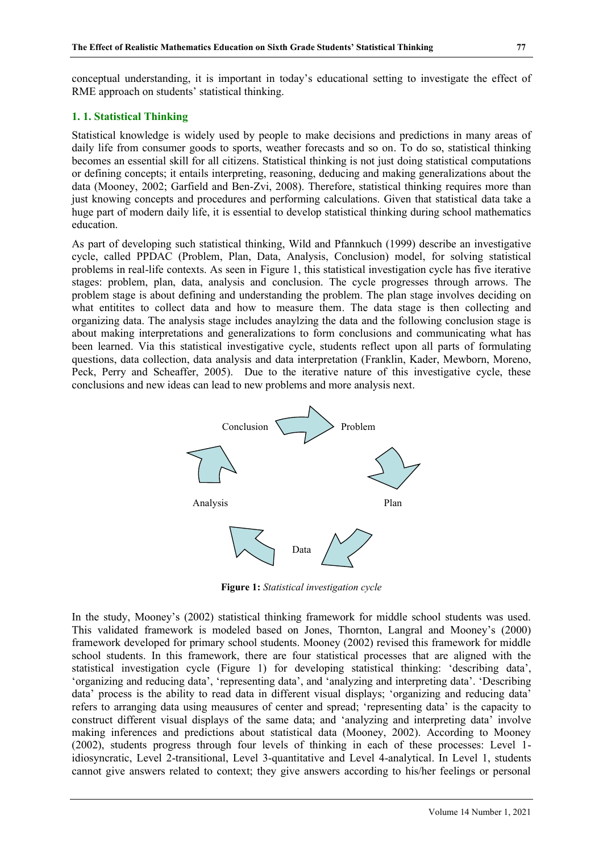conceptual understanding, it is important in today's educational setting to investigate the effect of RME approach on students' statistical thinking.

### **1. 1. Statistical Thinking**

Statistical knowledge is widely used by people to make decisions and predictions in many areas of daily life from consumer goods to sports, weather forecasts and so on. To do so, statistical thinking becomes an essential skill for all citizens. Statistical thinking is not just doing statistical computations or defining concepts; it entails interpreting, reasoning, deducing and making generalizations about the data (Mooney, 2002; Garfield and Ben-Zvi, 2008). Therefore, statistical thinking requires more than just knowing concepts and procedures and performing calculations. Given that statistical data take a huge part of modern daily life, it is essential to develop statistical thinking during school mathematics education.

As part of developing such statistical thinking, Wild and Pfannkuch (1999) describe an investigative cycle, called PPDAC (Problem, Plan, Data, Analysis, Conclusion) model, for solving statistical problems in real-life contexts. As seen in Figure 1, this statistical investigation cycle has five iterative stages: problem, plan, data, analysis and conclusion. The cycle progresses through arrows. The problem stage is about defining and understanding the problem. The plan stage involves deciding on what entitites to collect data and how to measure them. The data stage is then collecting and organizing data. The analysis stage includes anaylzing the data and the following conclusion stage is about making interpretations and generalizations to form conclusions and communicating what has been learned. Via this statistical investigative cycle, students reflect upon all parts of formulating questions, data collection, data analysis and data interpretation (Franklin, Kader, Mewborn, Moreno, Peck, Perry and Scheaffer, 2005). Due to the iterative nature of this investigative cycle, these conclusions and new ideas can lead to new problems and more analysis next.



**Figure 1:** *Statistical investigation cycle*

In the study, Mooney's (2002) statistical thinking framework for middle school students was used. This validated framework is modeled based on Jones, Thornton, Langral and Mooney's (2000) framework developed for primary school students. Mooney (2002) revised this framework for middle school students. In this framework, there are four statistical processes that are aligned with the statistical investigation cycle (Figure 1) for developing statistical thinking: 'describing data', 'organizing and reducing data', 'representing data', and 'analyzing and interpreting data'. 'Describing data' process is the ability to read data in different visual displays; 'organizing and reducing data' refers to arranging data using meausures of center and spread; 'representing data' is the capacity to construct different visual displays of the same data; and 'analyzing and interpreting data' involve making inferences and predictions about statistical data (Mooney, 2002). According to Mooney (2002), students progress through four levels of thinking in each of these processes: Level 1 idiosyncratic, Level 2-transitional, Level 3-quantitative and Level 4-analytical. In Level 1, students cannot give answers related to context; they give answers according to his/her feelings or personal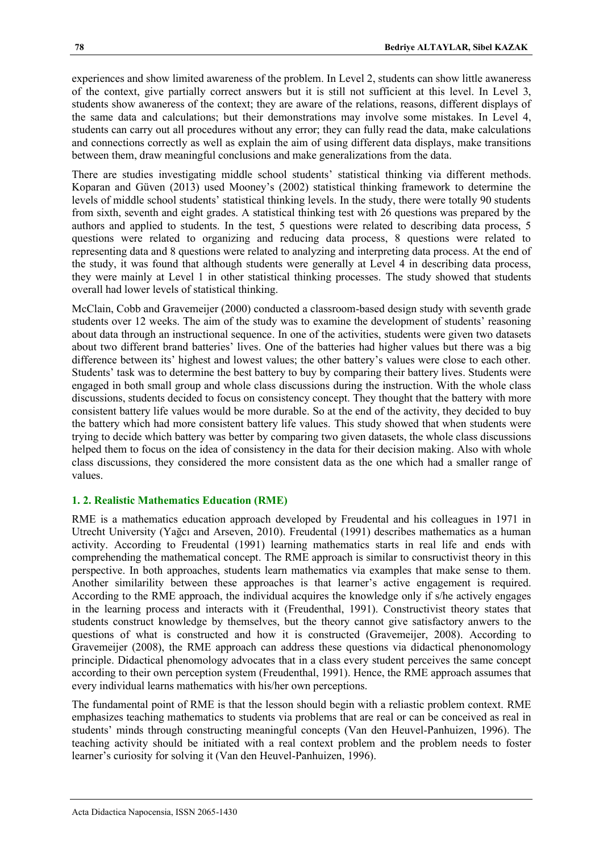experiences and show limited awareness of the problem. In Level 2, students can show little awaneress of the context, give partially correct answers but it is still not sufficient at this level. In Level 3, students show awaneress of the context; they are aware of the relations, reasons, different displays of the same data and calculations; but their demonstrations may involve some mistakes. In Level 4, students can carry out all procedures without any error; they can fully read the data, make calculations and connections correctly as well as explain the aim of using different data displays, make transitions between them, draw meaningful conclusions and make generalizations from the data.

There are studies investigating middle school students' statistical thinking via different methods. Koparan and Güven (2013) used Mooney's (2002) statistical thinking framework to determine the levels of middle school students' statistical thinking levels. In the study, there were totally 90 students from sixth, seventh and eight grades. A statistical thinking test with 26 questions was prepared by the authors and applied to students. In the test, 5 questions were related to describing data process, 5 questions were related to organizing and reducing data process, 8 questions were related to representing data and 8 questions were related to analyzing and interpreting data process. At the end of the study, it was found that although students were generally at Level 4 in describing data process, they were mainly at Level 1 in other statistical thinking processes. The study showed that students overall had lower levels of statistical thinking.

McClain, Cobb and Gravemeijer (2000) conducted a classroom-based design study with seventh grade students over 12 weeks. The aim of the study was to examine the development of students' reasoning about data through an instructional sequence. In one of the activities, students were given two datasets about two different brand batteries' lives. One of the batteries had higher values but there was a big difference between its' highest and lowest values; the other battery's values were close to each other. Students' task was to determine the best battery to buy by comparing their battery lives. Students were engaged in both small group and whole class discussions during the instruction. With the whole class discussions, students decided to focus on consistency concept. They thought that the battery with more consistent battery life values would be more durable. So at the end of the activity, they decided to buy the battery which had more consistent battery life values. This study showed that when students were trying to decide which battery was better by comparing two given datasets, the whole class discussions helped them to focus on the idea of consistency in the data for their decision making. Also with whole class discussions, they considered the more consistent data as the one which had a smaller range of values.

#### **1. 2. Realistic Mathematics Education (RME)**

RME is a mathematics education approach developed by Freudental and his colleagues in 1971 in Utrecht University (Yağcı and Arseven, 2010). Freudental (1991) describes mathematics as a human activity. According to Freudental (1991) learning mathematics starts in real life and ends with comprehending the mathematical concept. The RME approach is similar to consructivist theory in this perspective. In both approaches, students learn mathematics via examples that make sense to them. Another similarility between these approaches is that learner's active engagement is required. According to the RME approach, the individual acquires the knowledge only if s/he actively engages in the learning process and interacts with it (Freudenthal, 1991). Constructivist theory states that students construct knowledge by themselves, but the theory cannot give satisfactory anwers to the questions of what is constructed and how it is constructed (Gravemeijer, 2008). According to Gravemeijer (2008), the RME approach can address these questions via didactical phenonomology principle. Didactical phenomology advocates that in a class every student perceives the same concept according to their own perception system (Freudenthal, 1991). Hence, the RME approach assumes that every individual learns mathematics with his/her own perceptions.

The fundamental point of RME is that the lesson should begin with a reliastic problem context. RME emphasizes teaching mathematics to students via problems that are real or can be conceived as real in students' minds through constructing meaningful concepts (Van den Heuvel-Panhuizen, 1996). The teaching activity should be initiated with a real context problem and the problem needs to foster learner's curiosity for solving it (Van den Heuvel-Panhuizen, 1996).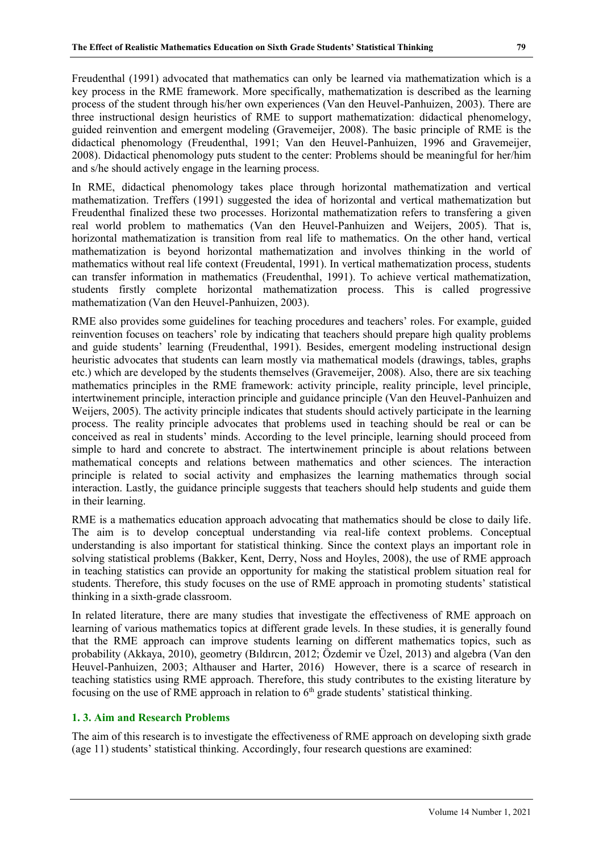Freudenthal (1991) advocated that mathematics can only be learned via mathematization which is a key process in the RME framework. More specifically, mathematization is described as the learning process of the student through his/her own experiences (Van den Heuvel-Panhuizen, 2003). There are three instructional design heuristics of RME to support mathematization: didactical phenomelogy, guided reinvention and emergent modeling (Gravemeijer, 2008). The basic principle of RME is the didactical phenomology (Freudenthal, 1991; Van den Heuvel-Panhuizen, 1996 and Gravemeijer, 2008). Didactical phenomology puts student to the center: Problems should be meaningful for her/him and s/he should actively engage in the learning process.

In RME, didactical phenomology takes place through horizontal mathematization and vertical mathematization. Treffers (1991) suggested the idea of horizontal and vertical mathematization but Freudenthal finalized these two processes. Horizontal mathematization refers to transfering a given real world problem to mathematics (Van den Heuvel-Panhuizen and Weijers, 2005). That is, horizontal mathematization is transition from real life to mathematics. On the other hand, vertical mathematization is beyond horizontal mathematization and involves thinking in the world of mathematics without real life context (Freudental, 1991). In vertical mathematization process, students can transfer information in mathematics (Freudenthal, 1991). To achieve vertical mathematization, students firstly complete horizontal mathematization process. This is called progressive mathematization (Van den Heuvel-Panhuizen, 2003).

RME also provides some guidelines for teaching procedures and teachers' roles. For example, guided reinvention focuses on teachers' role by indicating that teachers should prepare high quality problems and guide students' learning (Freudenthal, 1991). Besides, emergent modeling instructional design heuristic advocates that students can learn mostly via mathematical models (drawings, tables, graphs etc.) which are developed by the students themselves (Gravemeijer, 2008). Also, there are six teaching mathematics principles in the RME framework: activity principle, reality principle, level principle, intertwinement principle, interaction principle and guidance principle (Van den Heuvel-Panhuizen and Weijers, 2005). The activity principle indicates that students should actively participate in the learning process. The reality principle advocates that problems used in teaching should be real or can be conceived as real in students' minds. According to the level principle, learning should proceed from simple to hard and concrete to abstract. The intertwinement principle is about relations between mathematical concepts and relations between mathematics and other sciences. The interaction principle is related to social activity and emphasizes the learning mathematics through social interaction. Lastly, the guidance principle suggests that teachers should help students and guide them in their learning.

RME is a mathematics education approach advocating that mathematics should be close to daily life. The aim is to develop conceptual understanding via real-life context problems. Conceptual understanding is also important for statistical thinking. Since the context plays an important role in solving statistical problems (Bakker, Kent, Derry, Noss and Hoyles, 2008), the use of RME approach in teaching statistics can provide an opportunity for making the statistical problem situation real for students. Therefore, this study focuses on the use of RME approach in promoting students' statistical thinking in a sixth-grade classroom.

In related literature, there are many studies that investigate the effectiveness of RME approach on learning of various mathematics topics at different grade levels. In these studies, it is generally found that the RME approach can improve students learning on different mathematics topics, such as probability (Akkaya, 2010), geometry (Bıldırcın, 2012; Özdemir ve Üzel, 2013) and algebra (Van den Heuvel-Panhuizen, 2003; Althauser and Harter, 2016) However, there is a scarce of research in teaching statistics using RME approach. Therefore, this study contributes to the existing literature by focusing on the use of RME approach in relation to  $6<sup>th</sup>$  grade students' statistical thinking.

# **1. 3. Aim and Research Problems**

The aim of this research is to investigate the effectiveness of RME approach on developing sixth grade (age 11) students' statistical thinking. Accordingly, four research questions are examined: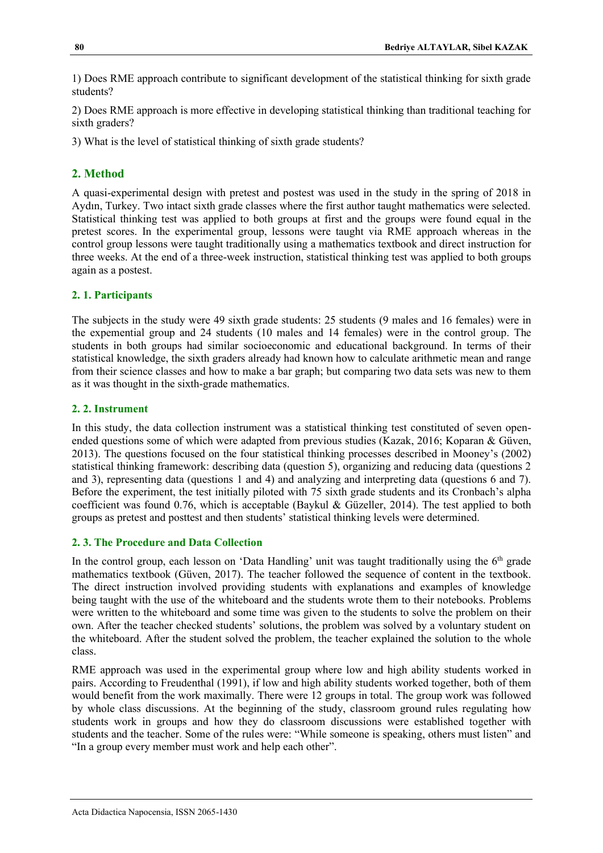1) Does RME approach contribute to significant development of the statistical thinking for sixth grade students?

2) Does RME approach is more effective in developing statistical thinking than traditional teaching for sixth graders?

3) What is the level of statistical thinking of sixth grade students?

# **2. Method**

A quasi-experimental design with pretest and postest was used in the study in the spring of 2018 in Aydın, Turkey. Two intact sixth grade classes where the first author taught mathematics were selected. Statistical thinking test was applied to both groups at first and the groups were found equal in the pretest scores. In the experimental group, lessons were taught via RME approach whereas in the control group lessons were taught traditionally using a mathematics textbook and direct instruction for three weeks. At the end of a three-week instruction, statistical thinking test was applied to both groups again as a postest.

## **2. 1. Participants**

The subjects in the study were 49 sixth grade students: 25 students (9 males and 16 females) were in the expemential group and 24 students (10 males and 14 females) were in the control group. The students in both groups had similar socioeconomic and educational background. In terms of their statistical knowledge, the sixth graders already had known how to calculate arithmetic mean and range from their science classes and how to make a bar graph; but comparing two data sets was new to them as it was thought in the sixth-grade mathematics.

## **2. 2. Instrument**

In this study, the data collection instrument was a statistical thinking test constituted of seven openended questions some of which were adapted from previous studies (Kazak, 2016; Koparan & Güven, 2013). The questions focused on the four statistical thinking processes described in Mooney's (2002) statistical thinking framework: describing data (question 5), organizing and reducing data (questions 2 and 3), representing data (questions 1 and 4) and analyzing and interpreting data (questions 6 and 7). Before the experiment, the test initially piloted with 75 sixth grade students and its Cronbach's alpha coefficient was found 0.76, which is acceptable (Baykul & Güzeller, 2014). The test applied to both groups as pretest and posttest and then students' statistical thinking levels were determined.

# **2. 3. The Procedure and Data Collection**

In the control group, each lesson on 'Data Handling' unit was taught traditionally using the  $6<sup>th</sup>$  grade mathematics textbook (Güven, 2017). The teacher followed the sequence of content in the textbook. The direct instruction involved providing students with explanations and examples of knowledge being taught with the use of the whiteboard and the students wrote them to their notebooks. Problems were written to the whiteboard and some time was given to the students to solve the problem on their own. After the teacher checked students' solutions, the problem was solved by a voluntary student on the whiteboard. After the student solved the problem, the teacher explained the solution to the whole class.

RME approach was used in the experimental group where low and high ability students worked in pairs. According to Freudenthal (1991), if low and high ability students worked together, both of them would benefit from the work maximally. There were 12 groups in total. The group work was followed by whole class discussions. At the beginning of the study, classroom ground rules regulating how students work in groups and how they do classroom discussions were established together with students and the teacher. Some of the rules were: "While someone is speaking, others must listen" and "In a group every member must work and help each other".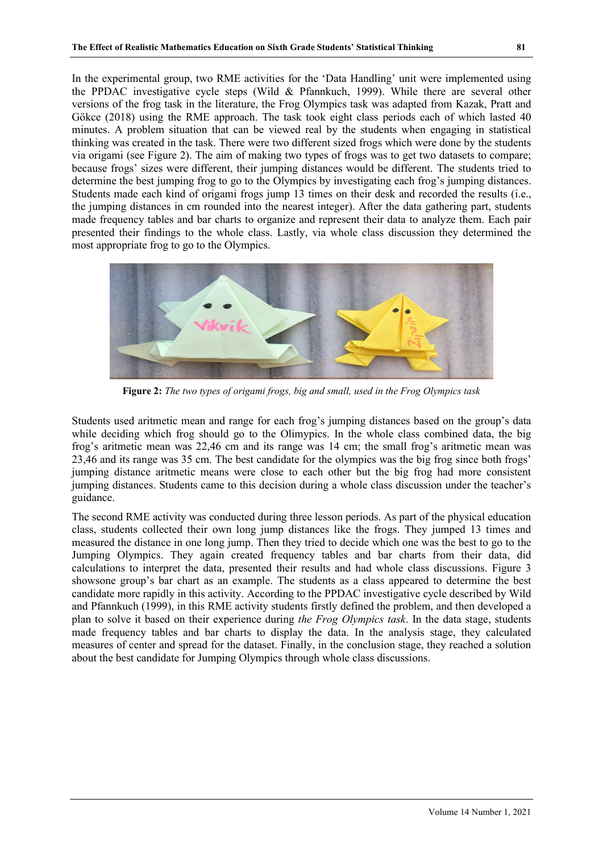In the experimental group, two RME activities for the 'Data Handling' unit were implemented using the PPDAC investigative cycle steps (Wild & Pfannkuch, 1999). While there are several other versions of the frog task in the literature, the Frog Olympics task was adapted from Kazak, Pratt and Gökce (2018) using the RME approach. The task took eight class periods each of which lasted 40 minutes. A problem situation that can be viewed real by the students when engaging in statistical thinking was created in the task. There were two different sized frogs which were done by the students via origami (see Figure 2). The aim of making two types of frogs was to get two datasets to compare; because frogs' sizes were different, their jumping distances would be different. The students tried to determine the best jumping frog to go to the Olympics by investigating each frog's jumping distances. Students made each kind of origami frogs jump 13 times on their desk and recorded the results (i.e., the jumping distances in cm rounded into the nearest integer). After the data gathering part, students made frequency tables and bar charts to organize and represent their data to analyze them. Each pair presented their findings to the whole class. Lastly, via whole class discussion they determined the most appropriate frog to go to the Olympics.



**Figure 2:** *The two types of origami frogs, big and small, used in the Frog Olympics task* 

Students used aritmetic mean and range for each frog's jumping distances based on the group's data while deciding which frog should go to the Olimypics. In the whole class combined data, the big frog's aritmetic mean was 22,46 cm and its range was 14 cm; the small frog's aritmetic mean was 23,46 and its range was 35 cm. The best candidate for the olympics was the big frog since both frogs' jumping distance aritmetic means were close to each other but the big frog had more consistent jumping distances. Students came to this decision during a whole class discussion under the teacher's guidance.

The second RME activity was conducted during three lesson periods. As part of the physical education class, students collected their own long jump distances like the frogs. They jumped 13 times and measured the distance in one long jump. Then they tried to decide which one was the best to go to the Jumping Olympics. They again created frequency tables and bar charts from their data, did calculations to interpret the data, presented their results and had whole class discussions. Figure 3 showsone group's bar chart as an example. The students as a class appeared to determine the best candidate more rapidly in this activity. According to the PPDAC investigative cycle described by Wild and Pfannkuch (1999), in this RME activity students firstly defined the problem, and then developed a plan to solve it based on their experience during *the Frog Olympics task*. In the data stage, students made frequency tables and bar charts to display the data. In the analysis stage, they calculated measures of center and spread for the dataset. Finally, in the conclusion stage, they reached a solution about the best candidate for Jumping Olympics through whole class discussions.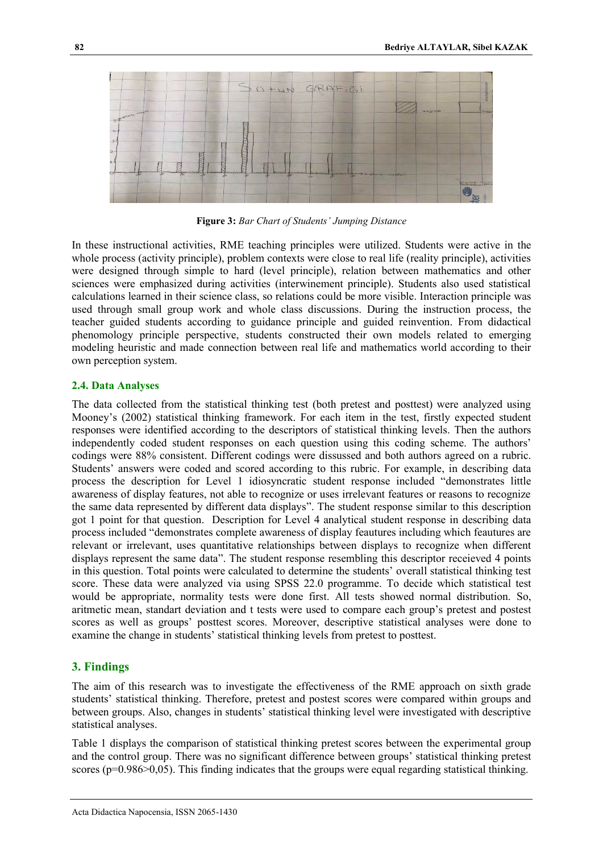

**Figure 3:** *Bar Chart of Students' Jumping Distance*

In these instructional activities, RME teaching principles were utilized. Students were active in the whole process (activity principle), problem contexts were close to real life (reality principle), activities were designed through simple to hard (level principle), relation between mathematics and other sciences were emphasized during activities (interwinement principle). Students also used statistical calculations learned in their science class, so relations could be more visible. Interaction principle was used through small group work and whole class discussions. During the instruction process, the teacher guided students according to guidance principle and guided reinvention. From didactical phenomology principle perspective, students constructed their own models related to emerging modeling heuristic and made connection between real life and mathematics world according to their own perception system.

#### **2.4. Data Analyses**

The data collected from the statistical thinking test (both pretest and posttest) were analyzed using Mooney's (2002) statistical thinking framework. For each item in the test, firstly expected student responses were identified according to the descriptors of statistical thinking levels. Then the authors independently coded student responses on each question using this coding scheme. The authors' codings were 88% consistent. Different codings were dissussed and both authors agreed on a rubric. Students' answers were coded and scored according to this rubric. For example, in describing data process the description for Level 1 idiosyncratic student response included "demonstrates little awareness of display features, not able to recognize or uses irrelevant features or reasons to recognize the same data represented by different data displays". The student response similar to this description got 1 point for that question. Description for Level 4 analytical student response in describing data process included "demonstrates complete awareness of display feautures including which feautures are relevant or irrelevant, uses quantitative relationships between displays to recognize when different displays represent the same data". The student response resembling this descriptor receieved 4 points in this question. Total points were calculated to determine the students' overall statistical thinking test score. These data were analyzed via using SPSS 22.0 programme. To decide which statistical test would be appropriate, normality tests were done first. All tests showed normal distribution. So, aritmetic mean, standart deviation and t tests were used to compare each group's pretest and postest scores as well as groups' posttest scores. Moreover, descriptive statistical analyses were done to examine the change in students' statistical thinking levels from pretest to posttest.

#### **3. Findings**

The aim of this research was to investigate the effectiveness of the RME approach on sixth grade students' statistical thinking. Therefore, pretest and postest scores were compared within groups and between groups. Also, changes in students' statistical thinking level were investigated with descriptive statistical analyses.

Table 1 displays the comparison of statistical thinking pretest scores between the experimental group and the control group. There was no significant difference between groups' statistical thinking pretest scores ( $p=0.986>0.05$ ). This finding indicates that the groups were equal regarding statistical thinking.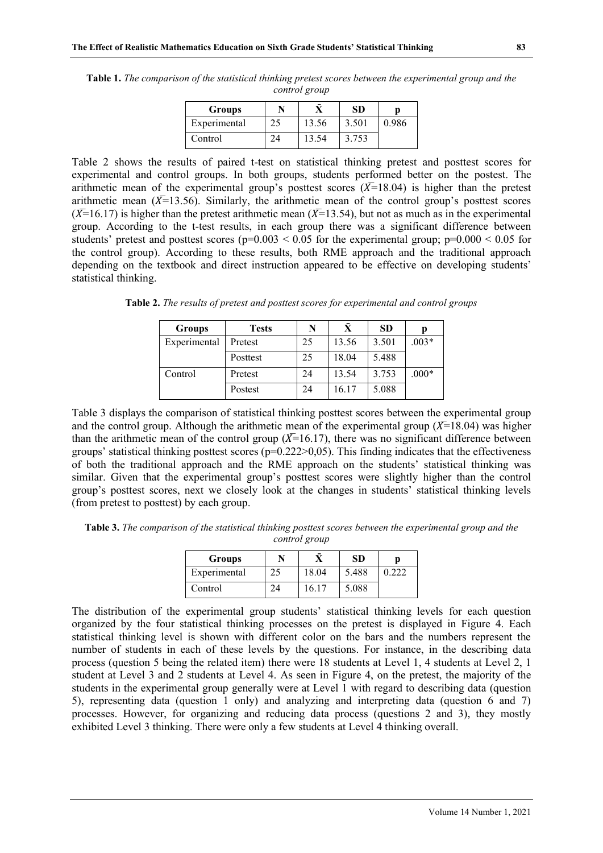| Groups       |       | SD    |       |
|--------------|-------|-------|-------|
| Experimental | 13.56 | 3.501 | 0.986 |
| Control      | 13.54 | 3.753 |       |

**Table 1.** *The comparison of the statistical thinking pretest scores between the experimental group and the control group*

Table 2 shows the results of paired t-test on statistical thinking pretest and posttest scores for experimental and control groups. In both groups, students performed better on the postest. The arithmetic mean of the experimental group's posttest scores  $(\bar{X}=18.04)$  is higher than the pretest arithmetic mean  $(X=13.56)$ . Similarly, the arithmetic mean of the control group's posttest scores  $(\overline{X}$ =16.17) is higher than the pretest arithmetic mean ( $\overline{X}$ =13.54), but not as much as in the experimental group. According to the t-test results, in each group there was a significant difference between students' pretest and posttest scores ( $p=0.003 < 0.05$  for the experimental group;  $p=0.000 < 0.05$  for the control group). According to these results, both RME approach and the traditional approach depending on the textbook and direct instruction appeared to be effective on developing students' statistical thinking.

**Table 2.** *The results of pretest and posttest scores for experimental and control groups*

| <b>Groups</b> | <b>Tests</b> | N  | Ā     | SD.   | р       |
|---------------|--------------|----|-------|-------|---------|
| Experimental  | Pretest      | 25 | 13.56 | 3.501 | $.003*$ |
|               | Posttest     | 25 | 18.04 | 5.488 |         |
| Control       | Pretest      | 24 | 13.54 | 3.753 | $.000*$ |
|               | Postest      | 24 | 16.17 | 5.088 |         |

Table 3 displays the comparison of statistical thinking posttest scores between the experimental group and the control group. Although the arithmetic mean of the experimental group  $(X=18.04)$  was higher than the arithmetic mean of the control group  $(\overline{X}=16.17)$ , there was no significant difference between groups' statistical thinking posttest scores ( $p=0.222>0.05$ ). This finding indicates that the effectiveness of both the traditional approach and the RME approach on the students' statistical thinking was similar. Given that the experimental group's posttest scores were slightly higher than the control group's posttest scores, next we closely look at the changes in students' statistical thinking levels (from pretest to posttest) by each group.

**Table 3.** *The comparison of the statistical thinking posttest scores between the experimental group and the control group*

| Groups       |       | <b>SD</b> |       |
|--------------|-------|-----------|-------|
| Experimental | 18.04 | 5.488     | 0 222 |
| Control      | 16.17 | 5.088     |       |

The distribution of the experimental group students' statistical thinking levels for each question organized by the four statistical thinking processes on the pretest is displayed in Figure 4. Each statistical thinking level is shown with different color on the bars and the numbers represent the number of students in each of these levels by the questions. For instance, in the describing data process (question 5 being the related item) there were 18 students at Level 1, 4 students at Level 2, 1 student at Level 3 and 2 students at Level 4. As seen in Figure 4, on the pretest, the majority of the students in the experimental group generally were at Level 1 with regard to describing data (question 5), representing data (question 1 only) and analyzing and interpreting data (question 6 and 7) processes. However, for organizing and reducing data process (questions 2 and 3), they mostly exhibited Level 3 thinking. There were only a few students at Level 4 thinking overall.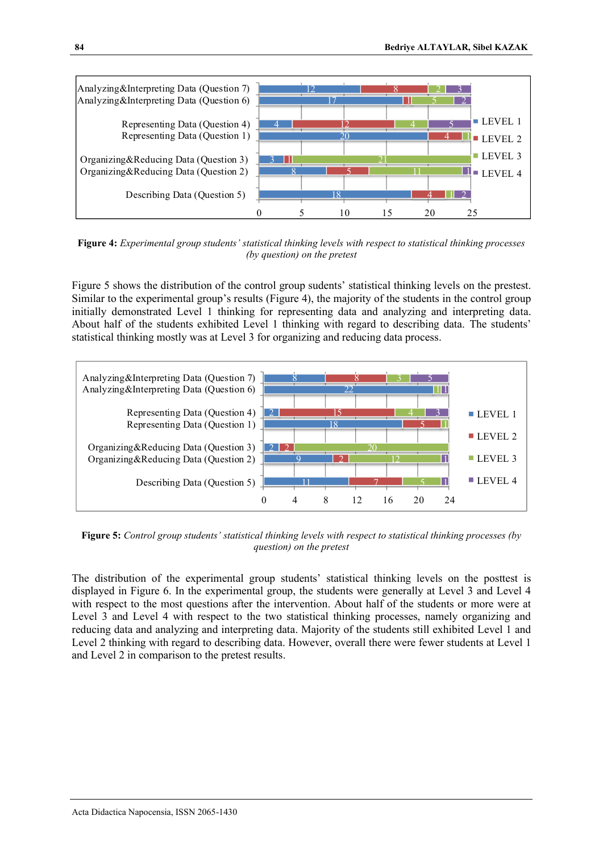

**Figure 4:** *Experimental group students' statistical thinking levels with respect to statistical thinking processes (by question) on the pretest*

Figure 5 shows the distribution of the control group sudents' statistical thinking levels on the prestest. Similar to the experimental group's results (Figure 4), the majority of the students in the control group initially demonstrated Level 1 thinking for representing data and analyzing and interpreting data. About half of the students exhibited Level 1 thinking with regard to describing data. The students' statistical thinking mostly was at Level 3 for organizing and reducing data process.



**Figure 5:** *Control group students' statistical thinking levels with respect to statistical thinking processes (by question) on the pretest*

The distribution of the experimental group students' statistical thinking levels on the posttest is displayed in Figure 6. In the experimental group, the students were generally at Level 3 and Level 4 with respect to the most questions after the intervention. About half of the students or more were at Level 3 and Level 4 with respect to the two statistical thinking processes, namely organizing and reducing data and analyzing and interpreting data. Majority of the students still exhibited Level 1 and Level 2 thinking with regard to describing data. However, overall there were fewer students at Level 1 and Level 2 in comparison to the pretest results.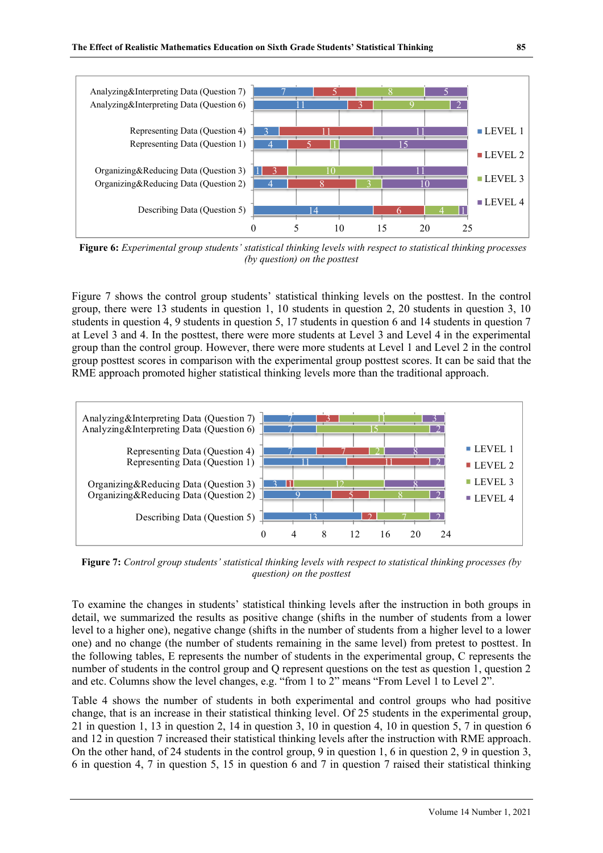

**Figure 6:** *Experimental group students' statistical thinking levels with respect to statistical thinking processes (by question) on the posttest*

Figure 7 shows the control group students' statistical thinking levels on the posttest. In the control group, there were 13 students in question 1, 10 students in question 2, 20 students in question 3, 10 students in question 4, 9 students in question 5, 17 students in question 6 and 14 students in question 7 at Level 3 and 4. In the posttest, there were more students at Level 3 and Level 4 in the experimental group than the control group. However, there were more students at Level 1 and Level 2 in the control group posttest scores in comparison with the experimental group posttest scores. It can be said that the RME approach promoted higher statistical thinking levels more than the traditional approach.



**Figure 7:** *Control group students' statistical thinking levels with respect to statistical thinking processes (by question) on the posttest*

To examine the changes in students' statistical thinking levels after the instruction in both groups in detail, we summarized the results as positive change (shifts in the number of students from a lower level to a higher one), negative change (shifts in the number of students from a higher level to a lower one) and no change (the number of students remaining in the same level) from pretest to posttest. In the following tables, E represents the number of students in the experimental group, C represents the number of students in the control group and Q represent questions on the test as question 1, question 2 and etc. Columns show the level changes, e.g. "from 1 to  $2$ " means "From Level 1 to Level  $2$ ".

Table 4 shows the number of students in both experimental and control groups who had positive change, that is an increase in their statistical thinking level. Of 25 students in the experimental group, 21 in question 1, 13 in question 2, 14 in question 3, 10 in question 4, 10 in question 5, 7 in question 6 and 12 in question 7 increased their statistical thinking levels after the instruction with RME approach. On the other hand, of 24 students in the control group, 9 in question 1, 6 in question 2, 9 in question 3, 6 in question 4, 7 in question 5, 15 in question 6 and 7 in question 7 raised their statistical thinking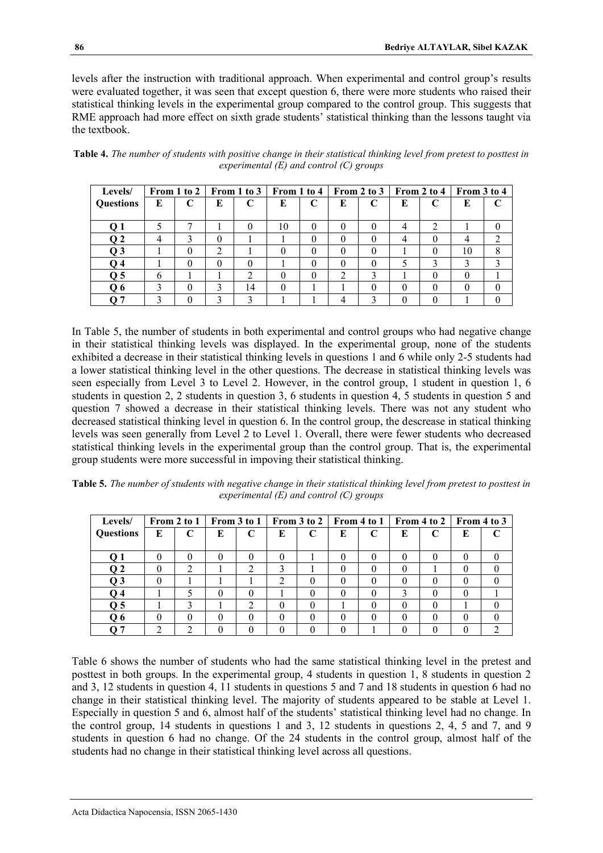levels after the instruction with traditional approach. When experimental and control group's results were evaluated together, it was seen that except question 6, there were more students who raised their statistical thinking levels in the experimental group compared to the control group. This suggests that RME approach had more effect on sixth grade students' statistical thinking than the lessons taught via the textbook.

| Levels/          |   | From 1 to 2 $\vert$ |               | $\vert$ From 1 to 3 $\vert$ From 1 to 4 |               |          |   | From 2 to 3 | From 2 to 4 |   | From 3 to 4 |  |
|------------------|---|---------------------|---------------|-----------------------------------------|---------------|----------|---|-------------|-------------|---|-------------|--|
| <b>Questions</b> | E | C                   | E             | C                                       | E             | C        | E | $\mathbf C$ | E           | C | Е           |  |
|                  |   |                     |               |                                         |               |          |   |             |             |   |             |  |
| Q <sub>1</sub>   |   | −                   |               |                                         | 10            | 0        | 0 | $\theta$    | 4           |   |             |  |
| Q <sub>2</sub>   | 4 |                     | 0             |                                         |               | $^{(1)}$ |   |             | 4           |   |             |  |
| Q <sub>3</sub>   |   | 0                   | $\mathcal{L}$ |                                         |               | $\theta$ |   |             |             | 0 | 10          |  |
| Q <sub>4</sub>   |   | $\theta$            | 0             |                                         |               | 0        | 0 | 0           |             |   |             |  |
| Q <sub>5</sub>   | 6 |                     |               |                                         | $\mathcal{O}$ | 0        | ∍ |             |             |   |             |  |
| Q6               |   | $\theta$            | 3             | 14                                      | $\theta$      |          |   |             | $\Omega$    |   |             |  |
|                  |   |                     | ∍             |                                         |               |          |   |             |             |   |             |  |

**Table 4.** *The number of students with positive change in their statistical thinking level from pretest to posttest in experimental (E) and control (C) groups*

In Table 5, the number of students in both experimental and control groups who had negative change in their statistical thinking levels was displayed. In the experimental group, none of the students exhibited a decrease in their statistical thinking levels in questions 1 and 6 while only 2-5 students had a lower statistical thinking level in the other questions. The decrease in statistical thinking levels was seen especially from Level 3 to Level 2. However, in the control group, 1 student in question 1, 6 students in question 2, 2 students in question 3, 6 students in question 4, 5 students in question 5 and question 7 showed a decrease in their statistical thinking levels. There was not any student who decreased statistical thinking level in question 6. In the control group, the descrease in statical thinking levels was seen generally from Level 2 to Level 1. Overall, there were fewer students who decreased statistical thinking levels in the experimental group than the control group. That is, the experimental group students were more successful in impoving their statistical thinking.

**Table 5.** *The number of students with negative change in their statistical thinking level from pretest to posttest in experimental (E) and control (C) groups*

| Levels/          |          | From 2 to 1 |          | From 3 to 1      |          |              |   | From 3 to 2   From 4 to 1 | From 4 to 2 |          | From 4 to 3 |
|------------------|----------|-------------|----------|------------------|----------|--------------|---|---------------------------|-------------|----------|-------------|
| <b>Questions</b> | E        | C           | E        | $\mathsf{C}$     | E        | $\mathsf{C}$ | E | C                         | E           | E        |             |
|                  |          |             |          |                  |          |              |   |                           |             |          |             |
| Q <sub>1</sub>   | $\theta$ | $\theta$    | $\Omega$ | $\mathcal{L}$    | 0        |              |   | $\Omega$                  | $\Omega$    | $\left($ |             |
| Q <sub>2</sub>   | $\theta$ | ◠           |          |                  |          |              |   | $\theta$                  |             |          |             |
| Q <sub>3</sub>   | $\theta$ |             |          |                  | 2        | 0            |   | 0                         | $\Omega$    |          |             |
| Q 4              |          |             | $\Omega$ | $\mathcal{L}$    |          | $^{(1)}$     |   | 0                         |             |          |             |
| Q <sub>5</sub>   |          |             |          |                  | $\Omega$ | $\theta$     |   | 0                         | $\Omega$    |          |             |
| O 6              | $\theta$ |             |          | $\left( \right)$ |          |              |   | $\theta$                  | $\Omega$    |          |             |
| ი 7              |          |             |          |                  |          |              |   |                           |             |          |             |

Table 6 shows the number of students who had the same statistical thinking level in the pretest and posttest in both groups. In the experimental group, 4 students in question 1, 8 students in question 2 and 3, 12 students in question 4, 11 students in questions 5 and 7 and 18 students in question 6 had no change in their statistical thinking level. The majority of students appeared to be stable at Level 1. Especially in question 5 and 6, almost half of the students' statistical thinking level had no change. In the control group, 14 students in questions 1 and 3, 12 students in questions 2, 4, 5 and 7, and 9 students in question 6 had no change. Of the 24 students in the control group, almost half of the students had no change in their statistical thinking level across all questions.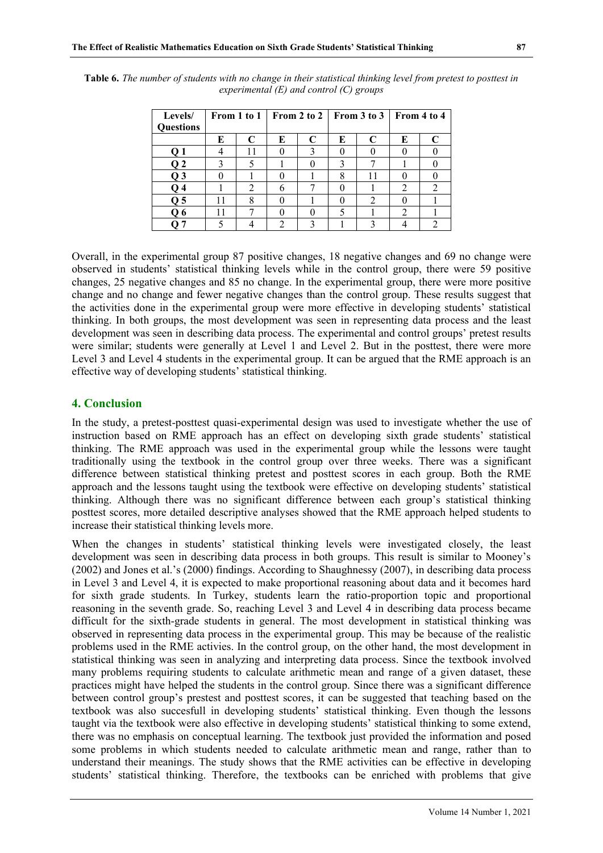| I<br>v<br>۰. |
|--------------|
|              |

| Levels/          |   |   | From 1 to 1   From 2 to 2 |   |   | From 3 to 3 | From 4 to 4 |  |  |
|------------------|---|---|---------------------------|---|---|-------------|-------------|--|--|
| <b>Questions</b> |   |   |                           |   |   |             |             |  |  |
|                  | E |   | E                         | C | E |             | E           |  |  |
|                  |   |   |                           |   |   |             |             |  |  |
| O 2              |   |   |                           |   |   |             |             |  |  |
| O 3              |   |   |                           |   | 8 |             |             |  |  |
|                  |   |   | 6                         |   |   |             |             |  |  |
| O 5              |   | o |                           |   |   |             |             |  |  |
| O 6              |   |   |                           |   |   |             |             |  |  |
|                  |   |   |                           |   |   |             |             |  |  |

**Table 6.** *The number of students with no change in their statistical thinking level from pretest to posttest in experimental (E) and control (C) groups*

Overall, in the experimental group 87 positive changes, 18 negative changes and 69 no change were observed in students' statistical thinking levels while in the control group, there were 59 positive changes, 25 negative changes and 85 no change. In the experimental group, there were more positive change and no change and fewer negative changes than the control group. These results suggest that the activities done in the experimental group were more effective in developing students' statistical thinking. In both groups, the most development was seen in representing data process and the least development was seen in describing data process. The experimental and control groups' pretest results were similar; students were generally at Level 1 and Level 2. But in the posttest, there were more Level 3 and Level 4 students in the experimental group. It can be argued that the RME approach is an effective way of developing students' statistical thinking.

# **4. Conclusion**

In the study, a pretest-posttest quasi-experimental design was used to investigate whether the use of instruction based on RME approach has an effect on developing sixth grade students' statistical thinking. The RME approach was used in the experimental group while the lessons were taught traditionally using the textbook in the control group over three weeks. There was a significant difference between statistical thinking pretest and posttest scores in each group. Both the RME approach and the lessons taught using the textbook were effective on developing students' statistical thinking. Although there was no significant difference between each group's statistical thinking posttest scores, more detailed descriptive analyses showed that the RME approach helped students to increase their statistical thinking levels more.

When the changes in students' statistical thinking levels were investigated closely, the least development was seen in describing data process in both groups. This result is similar to Mooney's (2002) and Jones et al.'s (2000) findings. According to Shaughnessy (2007), in describing data process in Level 3 and Level 4, it is expected to make proportional reasoning about data and it becomes hard for sixth grade students. In Turkey, students learn the ratio-proportion topic and proportional reasoning in the seventh grade. So, reaching Level 3 and Level 4 in describing data process became difficult for the sixth-grade students in general. The most development in statistical thinking was observed in representing data process in the experimental group. This may be because of the realistic problems used in the RME activies. In the control group, on the other hand, the most development in statistical thinking was seen in analyzing and interpreting data process. Since the textbook involved many problems requiring students to calculate arithmetic mean and range of a given dataset, these practices might have helped the students in the control group. Since there was a significant difference between control group's prestest and posttest scores, it can be suggested that teaching based on the textbook was also succesfull in developing students' statistical thinking. Even though the lessons taught via the textbook were also effective in developing students' statistical thinking to some extend, there was no emphasis on conceptual learning. The textbook just provided the information and posed some problems in which students needed to calculate arithmetic mean and range, rather than to understand their meanings. The study shows that the RME activities can be effective in developing students' statistical thinking. Therefore, the textbooks can be enriched with problems that give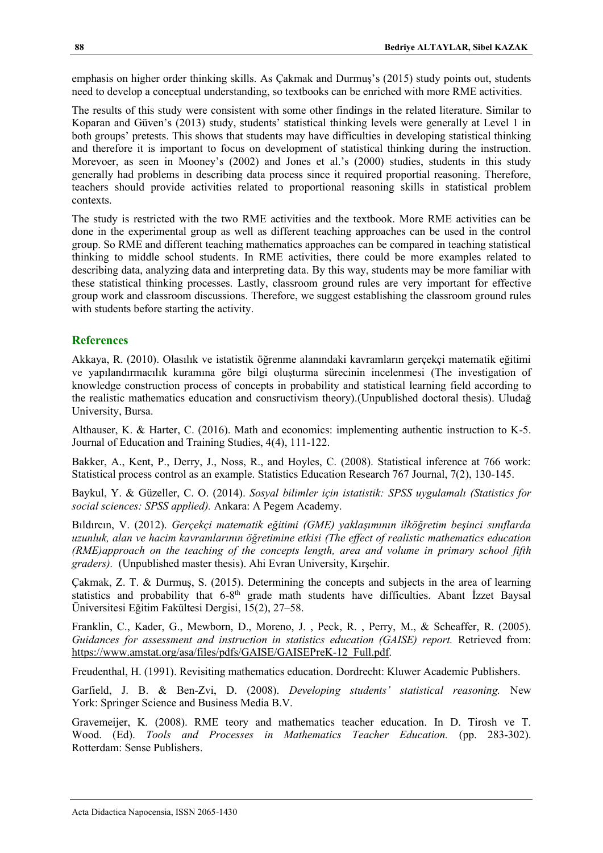emphasis on higher order thinking skills. As Çakmak and Durmuş's (2015) study points out, students need to develop a conceptual understanding, so textbooks can be enriched with more RME activities.

The results of this study were consistent with some other findings in the related literature. Similar to Koparan and Güven's (2013) study, students' statistical thinking levels were generally at Level 1 in both groups' pretests. This shows that students may have difficulties in developing statistical thinking and therefore it is important to focus on development of statistical thinking during the instruction. Morevoer, as seen in Mooney's (2002) and Jones et al.'s (2000) studies, students in this study generally had problems in describing data process since it required proportial reasoning. Therefore, teachers should provide activities related to proportional reasoning skills in statistical problem contexts.

The study is restricted with the two RME activities and the textbook. More RME activities can be done in the experimental group as well as different teaching approaches can be used in the control group. So RME and different teaching mathematics approaches can be compared in teaching statistical thinking to middle school students. In RME activities, there could be more examples related to describing data, analyzing data and interpreting data. By this way, students may be more familiar with these statistical thinking processes. Lastly, classroom ground rules are very important for effective group work and classroom discussions. Therefore, we suggest establishing the classroom ground rules with students before starting the activity.

### **References**

Akkaya, R. (2010). Olasılık ve istatistik öğrenme alanındaki kavramların gerçekçi matematik eğitimi ve yapılandırmacılık kuramına göre bilgi oluşturma sürecinin incelenmesi (The investigation of knowledge construction process of concepts in probability and statistical learning field according to the realistic mathematics education and consructivism theory).(Unpublished doctoral thesis). Uludağ University, Bursa.

Althauser, K. & Harter, C. (2016). Math and economics: implementing authentic instruction to K-5. Journal of Education and Training Studies, 4(4), 111-122.

Bakker, A., Kent, P., Derry, J., Noss, R., and Hoyles, C. (2008). Statistical inference at 766 work: Statistical process control as an example. Statistics Education Research 767 Journal, 7(2), 130-145.

Baykul, Y. & Güzeller, C. O. (2014). *Sosyal bilimler için istatistik: SPSS uygulamalı (Statistics for social sciences: SPSS applied).* Ankara: A Pegem Academy.

Bıldırcın, V. (2012). *Gerçekçi matematik eğitimi (GME) yaklaşımının ilköğretim beşinci sınıflarda uzunluk, alan ve hacim kavramlarının öğretimine etkisi (The effect of realistic mathematics education (RME)approach on the teaching of the concepts length, area and volume in primary school fifth graders).* (Unpublished master thesis). Ahi Evran University, Kırşehir.

Çakmak, Z. T. & Durmuş, S. (2015). Determining the concepts and subjects in the area of learning statistics and probability that 6-8<sup>th</sup> grade math students have difficulties. Abant Izzet Baysal Üniversitesi Eğitim Fakültesi Dergisi, 15(2), 27–58.

Franklin, C., Kader, G., Mewborn, D., Moreno, J. , Peck, R. , Perry, M., & Scheaffer, R. (2005). Guidances for assessment and instruction in statistics education (GAISE) report. Retrieved from: [https://www.amstat.org/asa/files/pdfs/GAISE/GAISEPreK-12\\_Full.pdf.](https://www.amstat.org/asa/files/pdfs/GAISE/GAISEPreK-12_Full.pdf)

Freudenthal, H. (1991). Revisiting mathematics education. Dordrecht: Kluwer Academic Publishers.

Garfield, J. B. & Ben-Zvi, D. (2008). *Developing students' statistical reasoning.* New York: Springer Science and Business Media B.V.

Gravemeijer, K. (2008). RME teory and mathematics teacher education. In D. Tirosh ve T. Wood. (Ed). *Tools and Processes in Mathematics Teacher Education.* (pp. 283-302). Rotterdam: Sense Publishers.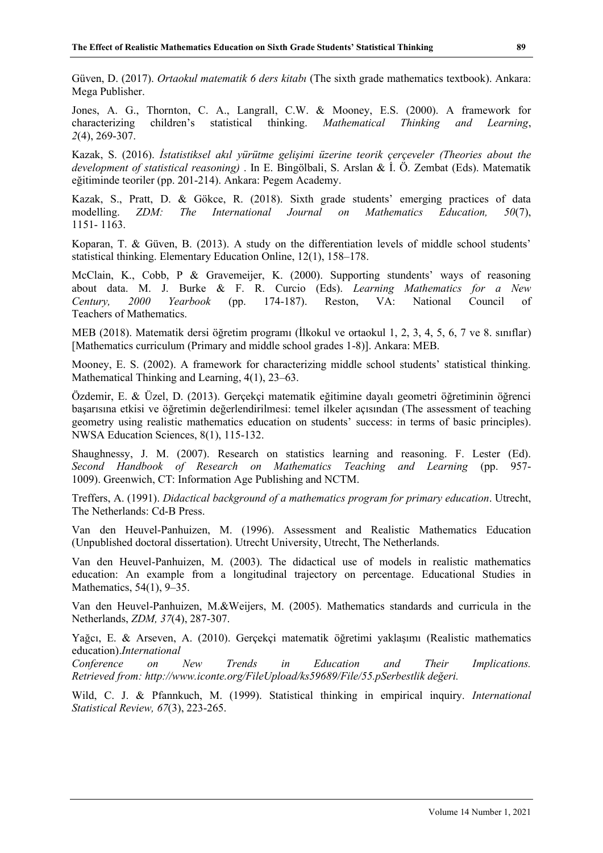Güven, D. (2017). *Ortaokul matematik 6 ders kitabı* (The sixth grade mathematics textbook). Ankara: Mega Publisher.

Jones, A. G., Thornton, C. A., Langrall, C.W. & Mooney, E.S. (2000). A framework for characterizing children's statistical thinking. *Mathematical Thinking and Learning*, *2*(4), 269-307.

Kazak, S. (2016). *İstatistiksel akıl yürütme gelişimi üzerine teorik çerçeveler (Theories about the development of statistical reasoning)* . In E. Bingölbali, S. Arslan & İ. Ö. Zembat (Eds). Matematik eğitiminde teoriler (pp. 201-214). Ankara: Pegem Academy.

Kazak, S., Pratt, D. & Gökce, R. (2018). Sixth grade students' emerging practices of data modelling. *ZDM: The International Journal on Mathematics Education, 50*(7), 1151- 1163.

Koparan, T. & Güven, B. (2013). A study on the differentiation levels of middle school students' statistical thinking. Elementary Education Online, 12(1), 158–178.

McClain, K., Cobb, P & Gravemeijer, K. (2000). Supporting stundents' ways of reasoning about data. M. J. Burke & F. R. Curcio (Eds). *Learning Mathematics for a New Century, 2000 Yearbook* (pp. 174-187). Reston, VA: National Council of Teachers of Mathematics.

MEB (2018). Matematik dersi öğretim programı (İlkokul ve ortaokul 1, 2, 3, 4, 5, 6, 7 ve 8. sınıflar) [Mathematics curriculum (Primary and middle school grades 1-8)]. Ankara: MEB.

Mooney, E. S. (2002). A framework for characterizing middle school students' statistical thinking. Mathematical Thinking and Learning, 4(1), 23–63.

Özdemir, E. & Üzel, D. (2013). Gerçekçi matematik eğitimine dayalı geometri öğretiminin öğrenci başarısına etkisi ve öğretimin değerlendirilmesi: temel ilkeler açısından (The assessment of teaching geometry using realistic mathematics education on students' success: in terms of basic principles). NWSA Education Sciences, 8(1), 115-132.

Shaughnessy, J. M. (2007). Research on statistics learning and reasoning. F. Lester (Ed). *Second Handbook of Research on Mathematics Teaching and Learning* (pp. 957- 1009). Greenwich, CT: Information Age Publishing and NCTM.

Treffers, A. (1991). *Didactical background of a mathematics program for primary education*. Utrecht, The Netherlands: Cd-B Press.

Van den Heuvel-Panhuizen, M. (1996). Assessment and Realistic Mathematics Education (Unpublished doctoral dissertation). Utrecht University, Utrecht, The Netherlands.

Van den Heuvel-Panhuizen, M. (2003). The didactical use of models in realistic mathematics education: An example from a longitudinal trajectory on percentage. Educational Studies in Mathematics, 54(1), 9–35.

Van den Heuvel-Panhuizen, M.&Weijers, M. (2005). Mathematics standards and curricula in the Netherlands, *ZDM, 37*(4), 287-307.

Yağcı, E. & Arseven, A. (2010). Gerçekçi matematik öğretimi yaklaşımı (Realistic mathematics education).*International*

*Conference on New Trends in Education and Their Implications. Retrieved from: http://www.iconte.org/FileUpload/ks59689/File/55.pSerbestlik değeri.*

Wild, C. J. & Pfannkuch, M. (1999). Statistical thinking in empirical inquiry. *International Statistical Review, 67*(3), 223-265.